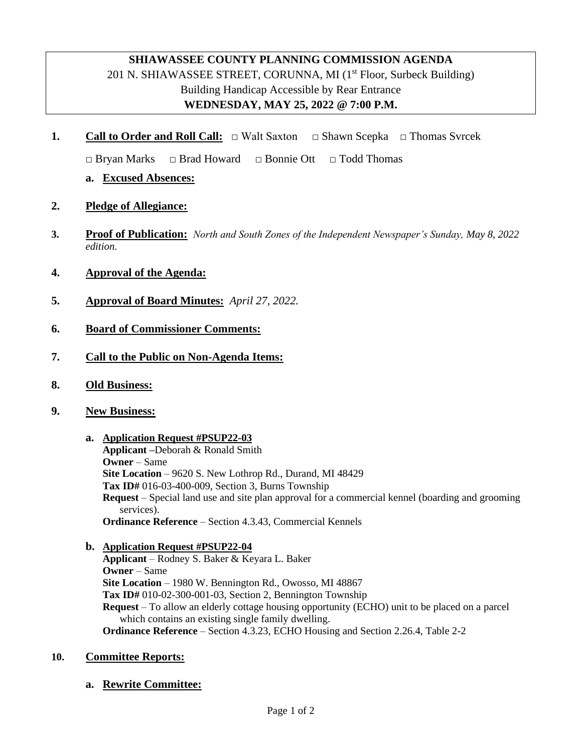## **SHIAWASSEE COUNTY PLANNING COMMISSION AGENDA** 201 N. SHIAWASSEE STREET, CORUNNA, MI  $(1<sup>st</sup>$  Floor, Surbeck Building) Building Handicap Accessible by Rear Entrance **WEDNESDAY, MAY 25, 2022 @ 7:00 P.M.**

**1. Call to Order and Roll Call:** □ Walt Saxton **□** Shawn Scepka **□** Thomas Svrcek

**□** Bryan Marks **□** Brad Howard **□** Bonnie Ott **□** Todd Thomas

- **a. Excused Absences:**
- **2. Pledge of Allegiance:**
- **3. Proof of Publication:** *North and South Zones of the Independent Newspaper's Sunday, May 8, 2022 edition.*
- **4. Approval of the Agenda:**
- **5. Approval of Board Minutes:** *April 27, 2022.*
- **6. Board of Commissioner Comments:**
- **7. Call to the Public on Non-Agenda Items:**
- **8. Old Business:**
- **9. New Business:**
	- **a. Application Request #PSUP22-03 Applicant –**Deborah & Ronald Smith **Owner** – Same **Site Location** – 9620 S. New Lothrop Rd., Durand, MI 48429 **Tax ID#** 016-03-400-009, Section 3, Burns Township **Request** – Special land use and site plan approval for a commercial kennel (boarding and grooming services). **Ordinance Reference** – Section 4.3.43, Commercial Kennels
	- **b. Application Request #PSUP22-04**

**Applicant** – Rodney S. Baker & Keyara L. Baker **Owner** – Same **Site Location** – 1980 W. Bennington Rd., Owosso, MI 48867 **Tax ID#** 010-02-300-001-03, Section 2, Bennington Township **Request** – To allow an elderly cottage housing opportunity (ECHO) unit to be placed on a parcel which contains an existing single family dwelling. **Ordinance Reference** – Section 4.3.23, ECHO Housing and Section 2.26.4, Table 2-2

## **10. Committee Reports:**

**a. Rewrite Committee:**